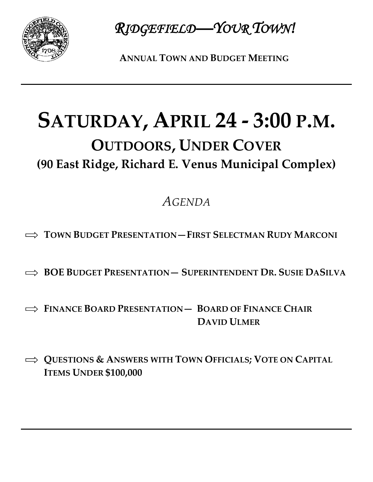

*RIDGEFIELD—YOUR TOWN!* 

**ANNUAL TOWN AND BUDGET MEETING**

## **SATURDAY, APRIL 24 - 3:00 P.M. OUTDOORS, UNDER COVER (90 East Ridge, Richard E. Venus Municipal Complex)**

## *AGENDA*

- $\implies$  **TOWN BUDGET PRESENTATION—FIRST SELECTMAN RUDY MARCONI**
- **BOE BUDGET PRESENTATION— SUPERINTENDENT DR. SUSIE DASILVA**
- **FINANCE BOARD PRESENTATION— BOARD OF FINANCE CHAIR DAVID ULMER**
- $\implies$  **QUESTIONS & ANSWERS WITH TOWN OFFICIALS; VOTE ON CAPITAL ITEMS UNDER \$100,000**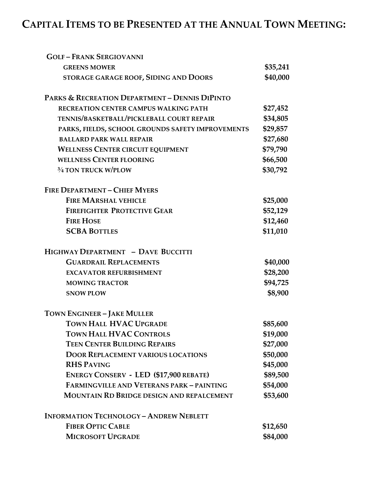## **CAPITAL ITEMS TO BE PRESENTED AT THE ANNUAL TOWN MEETING:**

| <b>GOLF-FRANK SERGIOVANNI</b>                     |          |
|---------------------------------------------------|----------|
| <b>GREENS MOWER</b>                               | \$35,241 |
| STORAGE GARAGE ROOF, SIDING AND DOORS             | \$40,000 |
| PARKS & RECREATION DEPARTMENT - DENNIS DIPINTO    |          |
| RECREATION CENTER CAMPUS WALKING PATH             | \$27,452 |
| TENNIS/BASKETBALL/PICKLEBALL COURT REPAIR         | \$34,805 |
| PARKS, FIELDS, SCHOOL GROUNDS SAFETY IMPROVEMENTS | \$29,857 |
| <b>BALLARD PARK WALL REPAIR</b>                   | \$27,680 |
| <b>WELLNESS CENTER CIRCUIT EQUIPMENT</b>          | \$79,790 |
| <b>WELLNESS CENTER FLOORING</b>                   | \$66,500 |
| 3/4 TON TRUCK W/PLOW                              | \$30,792 |
| <b>FIRE DEPARTMENT - CHIEF MYERS</b>              |          |
| <b>FIRE MARSHAL VEHICLE</b>                       | \$25,000 |
| <b>FIREFIGHTER PROTECTIVE GEAR</b>                | \$52,129 |
| <b>FIRE HOSE</b>                                  | \$12,460 |
| <b>SCBA BOTTLES</b>                               | \$11,010 |
| HIGHWAY DEPARTMENT - DAVE BUCCITTI                |          |
| <b>GUARDRAIL REPLACEMENTS</b>                     | \$40,000 |
| <b>EXCAVATOR REFURBISHMENT</b>                    | \$28,200 |
| <b>MOWING TRACTOR</b>                             | \$94,725 |
| <b>SNOW PLOW</b>                                  | \$8,900  |
| <b>TOWN ENGINEER - JAKE MULLER</b>                |          |
| TOWN HALL HVAC UPGRADE                            | \$85,600 |
| <b>TOWN HALL HVAC CONTROLS</b>                    | \$19,000 |
| <b>TEEN CENTER BUILDING REPAIRS</b>               | \$27,000 |
| <b>DOOR REPLACEMENT VARIOUS LOCATIONS</b>         | \$50,000 |
| <b>RHS PAVING</b>                                 | \$45,000 |
| <b>ENERGY CONSERV - LED (\$17,900 REBATE)</b>     | \$89,500 |
| FARMINGVILLE AND VETERANS PARK - PAINTING         | \$54,000 |
| MOUNTAIN RD BRIDGE DESIGN AND REPALCEMENT         | \$53,600 |
| <b>INFORMATION TECHNOLOGY - ANDREW NEBLETT</b>    |          |
|                                                   |          |
| <b>FIBER OPTIC CABLE</b>                          | \$12,650 |